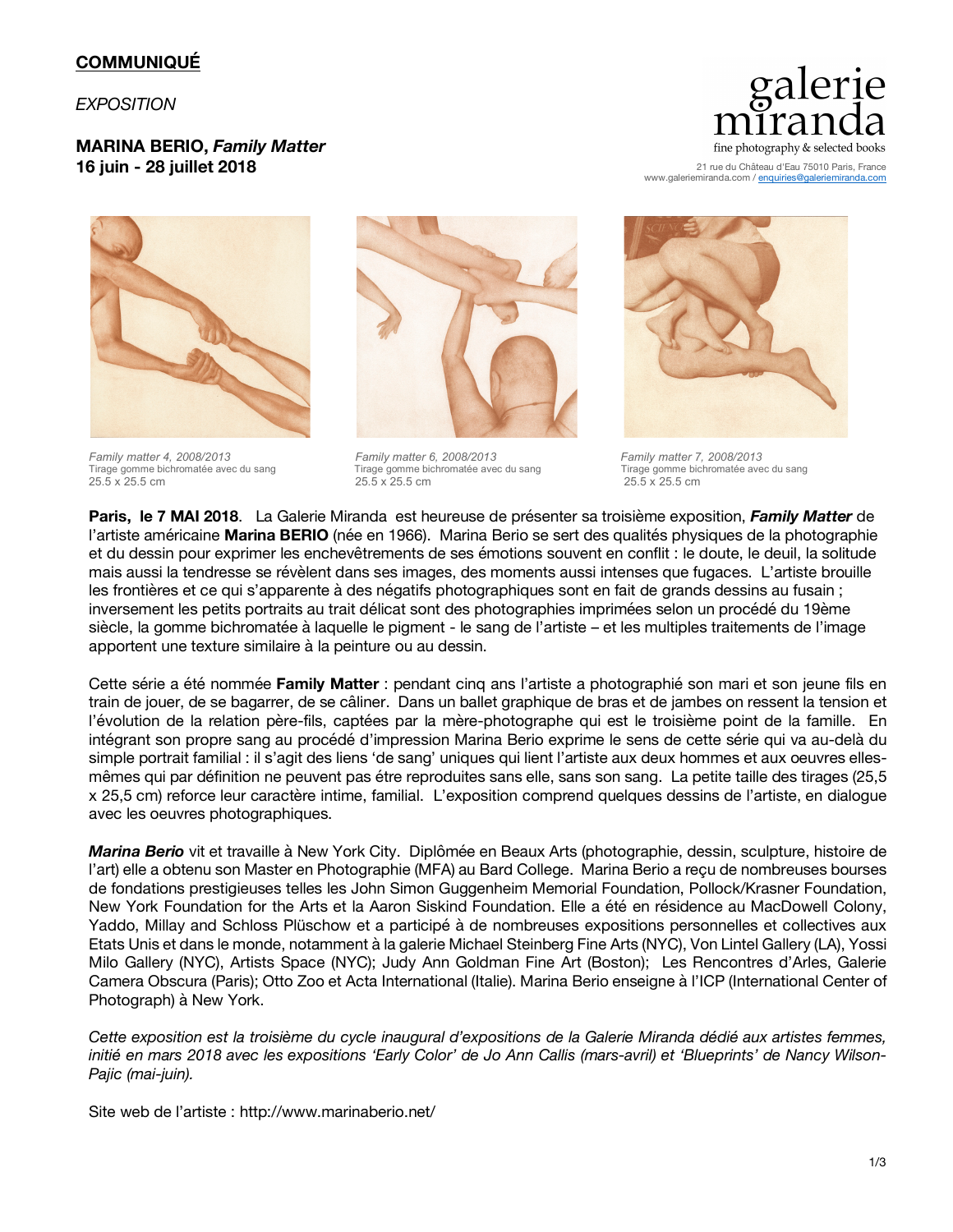# **COMMUNIQUÉ**

#### *EXPOSITION*

## **MARINA BERIO,** *Family Matter* **16 juin - 28 juillet 2018**



*Family matter 4, 2008/2013 Family matter 6, 2008/2013 Family matter 7, 2008/2013* Tirage gomme bichromatée avec du sang Tirage gomme bichromatée avec du sang Tirage gomme bichromatée avec du sang<br>25.5 x 25.5 cm 25.5 cm 25.5 x 25.5 cm 25.5 x 25.5 cm 25.5 x 25.5 cm



25.5 x 25.5 cm 25.5 x 25.5 cm 25.5 x 25.5 cm



21 rue du Château d'Eau 75010 Paris, France www.galeriemiranda.com / enquiries@galerier



**Paris, le 7 MAI 2018**. La Galerie Miranda est heureuse de présenter sa troisième exposition, *Family Matter* de l'artiste américaine **Marina BERIO** (née en 1966). Marina Berio se sert des qualités physiques de la photographie et du dessin pour exprimer les enchevêtrements de ses émotions souvent en conflit : le doute, le deuil, la solitude mais aussi la tendresse se révèlent dans ses images, des moments aussi intenses que fugaces. L'artiste brouille les frontières et ce qui s'apparente à des négatifs photographiques sont en fait de grands dessins au fusain ; inversement les petits portraits au trait délicat sont des photographies imprimées selon un procédé du 19ème siècle, la gomme bichromatée à laquelle le pigment - le sang de l'artiste – et les multiples traitements de l'image apportent une texture similaire à la peinture ou au dessin.

Cette série a été nommée **Family Matter** : pendant cinq ans l'artiste a photographié son mari et son jeune fils en train de jouer, de se bagarrer, de se câliner. Dans un ballet graphique de bras et de jambes on ressent la tension et l'évolution de la relation père-fils, captées par la mère-photographe qui est le troisième point de la famille. En intégrant son propre sang au procédé d'impression Marina Berio exprime le sens de cette série qui va au-delà du simple portrait familial : il s'agit des liens 'de sang' uniques qui lient l'artiste aux deux hommes et aux oeuvres ellesmêmes qui par définition ne peuvent pas étre reproduites sans elle, sans son sang. La petite taille des tirages (25,5 x 25,5 cm) reforce leur caractère intime, familial. L'exposition comprend quelques dessins de l'artiste, en dialogue avec les oeuvres photographiques.

*Marina Berio* vit et travaille à New York City. Diplômée en Beaux Arts (photographie, dessin, sculpture, histoire de l'art) elle a obtenu son Master en Photographie (MFA) au Bard College. Marina Berio a reçu de nombreuses bourses de fondations prestigieuses telles les John Simon Guggenheim Memorial Foundation, Pollock/Krasner Foundation, New York Foundation for the Arts et la Aaron Siskind Foundation. Elle a été en résidence au MacDowell Colony, Yaddo, Millay and Schloss Plüschow et a participé à de nombreuses expositions personnelles et collectives aux Etats Unis et dans le monde, notamment à la galerie Michael Steinberg Fine Arts (NYC), Von Lintel Gallery (LA), Yossi Milo Gallery (NYC), Artists Space (NYC); Judy Ann Goldman Fine Art (Boston); Les Rencontres d'Arles, Galerie Camera Obscura (Paris); Otto Zoo et Acta International (Italie). Marina Berio enseigne à l'ICP (International Center of Photograph) à New York.

*Cette exposition est la troisième du cycle inaugural d'expositions de la Galerie Miranda dédié aux artistes femmes, initié en mars 2018 avec les expositions 'Early Color' de Jo Ann Callis (mars-avril) et 'Blueprints' de Nancy Wilson-Pajic (mai-juin).*

Site web de l'artiste : http://www.marinaberio.net/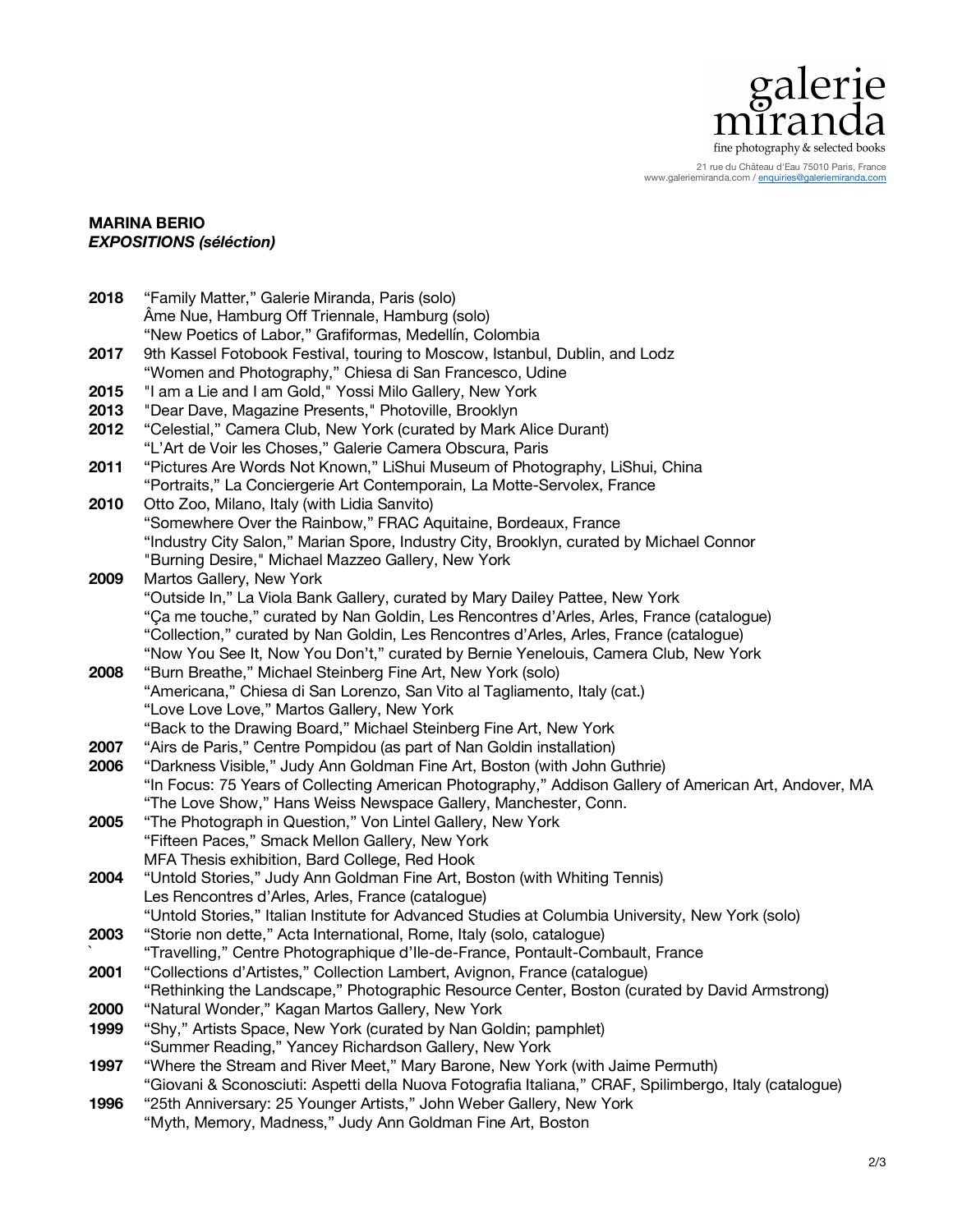

21 rue du Château d'Eau 75010 Paris, France www.galeriemiranda.com / enquiries@galeriemiranda.com

### **MARINA BERIO**  *EXPOSITIONS (séléction)*

| 2018 | "Family Matter," Galerie Miranda, Paris (solo)                                                                                                                             |
|------|----------------------------------------------------------------------------------------------------------------------------------------------------------------------------|
|      | Âme Nue, Hamburg Off Triennale, Hamburg (solo)                                                                                                                             |
|      | "New Poetics of Labor," Grafiformas, Medellín, Colombia                                                                                                                    |
| 2017 | 9th Kassel Fotobook Festival, touring to Moscow, Istanbul, Dublin, and Lodz                                                                                                |
|      | "Women and Photography," Chiesa di San Francesco, Udine                                                                                                                    |
| 2015 | "I am a Lie and I am Gold," Yossi Milo Gallery, New York                                                                                                                   |
| 2013 | "Dear Dave, Magazine Presents," Photoville, Brooklyn                                                                                                                       |
| 2012 | "Celestial," Camera Club, New York (curated by Mark Alice Durant)                                                                                                          |
|      | "L'Art de Voir les Choses," Galerie Camera Obscura, Paris                                                                                                                  |
| 2011 | "Pictures Are Words Not Known," LiShui Museum of Photography, LiShui, China                                                                                                |
|      | "Portraits," La Conciergerie Art Contemporain, La Motte-Servolex, France                                                                                                   |
| 2010 | Otto Zoo, Milano, Italy (with Lidia Sanvito)                                                                                                                               |
|      | "Somewhere Over the Rainbow," FRAC Aquitaine, Bordeaux, France                                                                                                             |
|      | "Industry City Salon," Marian Spore, Industry City, Brooklyn, curated by Michael Connor                                                                                    |
|      | "Burning Desire," Michael Mazzeo Gallery, New York                                                                                                                         |
| 2009 | Martos Gallery, New York                                                                                                                                                   |
|      | "Outside In," La Viola Bank Gallery, curated by Mary Dailey Pattee, New York                                                                                               |
|      | "Ça me touche," curated by Nan Goldin, Les Rencontres d'Arles, Arles, France (catalogue)                                                                                   |
|      | "Collection," curated by Nan Goldin, Les Rencontres d'Arles, Arles, France (catalogue)                                                                                     |
|      | "Now You See It, Now You Don't," curated by Bernie Yenelouis, Camera Club, New York                                                                                        |
| 2008 | "Burn Breathe," Michael Steinberg Fine Art, New York (solo)                                                                                                                |
|      | "Americana," Chiesa di San Lorenzo, San Vito al Tagliamento, Italy (cat.)                                                                                                  |
|      | "Love Love Love," Martos Gallery, New York                                                                                                                                 |
|      | "Back to the Drawing Board," Michael Steinberg Fine Art, New York                                                                                                          |
| 2007 | "Airs de Paris," Centre Pompidou (as part of Nan Goldin installation)                                                                                                      |
| 2006 | "Darkness Visible," Judy Ann Goldman Fine Art, Boston (with John Guthrie)                                                                                                  |
|      | "In Focus: 75 Years of Collecting American Photography," Addison Gallery of American Art, Andover, MA                                                                      |
|      | "The Love Show," Hans Weiss Newspace Gallery, Manchester, Conn.                                                                                                            |
| 2005 | "The Photograph in Question," Von Lintel Gallery, New York                                                                                                                 |
|      | "Fifteen Paces," Smack Mellon Gallery, New York                                                                                                                            |
|      | MFA Thesis exhibition, Bard College, Red Hook                                                                                                                              |
| 2004 | "Untold Stories," Judy Ann Goldman Fine Art, Boston (with Whiting Tennis)                                                                                                  |
|      | Les Rencontres d'Arles, Arles, France (catalogue)                                                                                                                          |
|      | "Untold Stories," Italian Institute for Advanced Studies at Columbia University, New York (solo)                                                                           |
| 2003 | "Storie non dette," Acta International, Rome, Italy (solo, catalogue)                                                                                                      |
|      | "Travelling," Centre Photographique d'Ile-de-France, Pontault-Combault, France                                                                                             |
| 2001 | "Collections d'Artistes," Collection Lambert, Avignon, France (catalogue)<br>"Rethinking the Landscape," Photographic Resource Center, Boston (curated by David Armstrong) |
| 2000 | "Natural Wonder," Kagan Martos Gallery, New York                                                                                                                           |
| 1999 | "Shy," Artists Space, New York (curated by Nan Goldin; pamphlet)                                                                                                           |
|      | "Summer Reading," Yancey Richardson Gallery, New York                                                                                                                      |
| 1997 | "Where the Stream and River Meet," Mary Barone, New York (with Jaime Permuth)                                                                                              |
|      | "Giovani & Sconosciuti: Aspetti della Nuova Fotografia Italiana," CRAF, Spilimbergo, Italy (catalogue)                                                                     |
| 1996 | "25th Anniversary: 25 Younger Artists," John Weber Gallery, New York                                                                                                       |
|      | "Myth, Memory, Madness," Judy Ann Goldman Fine Art, Boston                                                                                                                 |
|      |                                                                                                                                                                            |